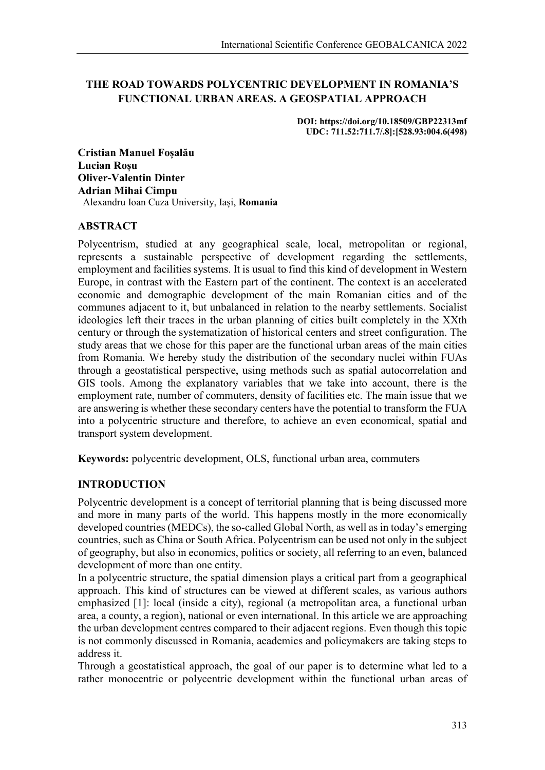# **THE ROAD TOWARDS POLYCENTRIC DEVELOPMENT IN ROMANIA'S FUNCTIONAL URBAN AREAS. A GEOSPATIAL APPROACH**

**DOI: https://doi.org/10.18509/GBP22313mf UDC: 711.52:711.7/.8]:[528.93:004.6(498)**

**Cristian Manuel Foșalău Lucian Roșu Oliver-Valentin Dinter Adrian Mihai Cimpu** Alexandru Ioan Cuza University, Iași, **Romania**

#### **ABSTRACT**

Polycentrism, studied at any geographical scale, local, metropolitan or regional, represents a sustainable perspective of development regarding the settlements, employment and facilities systems. It is usual to find this kind of development in Western Europe, in contrast with the Eastern part of the continent. The context is an accelerated economic and demographic development of the main Romanian cities and of the communes adjacent to it, but unbalanced in relation to the nearby settlements. Socialist ideologies left their traces in the urban planning of cities built completely in the XXth century or through the systematization of historical centers and street configuration. The study areas that we chose for this paper are the functional urban areas of the main cities from Romania. We hereby study the distribution of the secondary nuclei within FUAs through a geostatistical perspective, using methods such as spatial autocorrelation and GIS tools. Among the explanatory variables that we take into account, there is the employment rate, number of commuters, density of facilities etc. The main issue that we are answering is whether these secondary centers have the potential to transform the FUA into a polycentric structure and therefore, to achieve an even economical, spatial and transport system development.

**Keywords:** polycentric development, OLS, functional urban area, commuters

### **INTRODUCTION**

Polycentric development is a concept of territorial planning that is being discussed more and more in many parts of the world. This happens mostly in the more economically developed countries (MEDCs), the so-called Global North, as well as in today's emerging countries, such as China or South Africa. Polycentrism can be used not only in the subject of geography, but also in economics, politics or society, all referring to an even, balanced development of more than one entity.

In a polycentric structure, the spatial dimension plays a critical part from a geographical approach. This kind of structures can be viewed at different scales, as various authors emphasized [1]: local (inside a city), regional (a metropolitan area, a functional urban area, a county, a region), national or even international. In this article we are approaching the urban development centres compared to their adjacent regions. Even though this topic is not commonly discussed in Romania, academics and policymakers are taking steps to address it.

Through a geostatistical approach, the goal of our paper is to determine what led to a rather monocentric or polycentric development within the functional urban areas of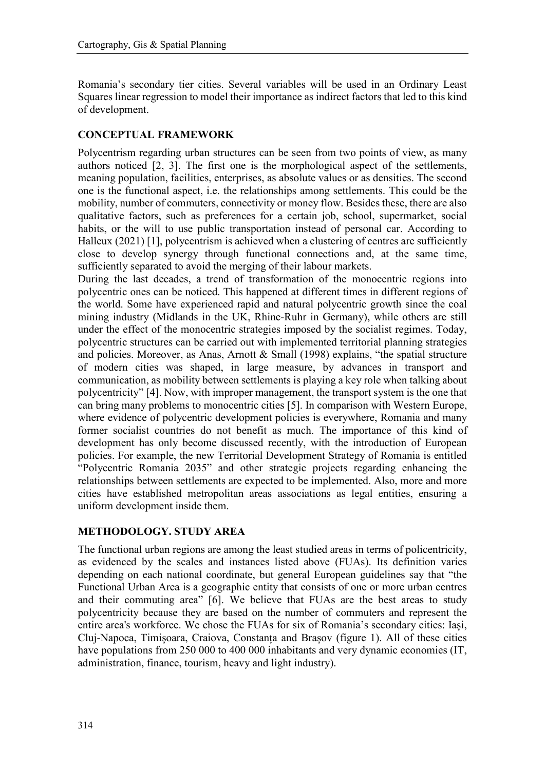Romania's secondary tier cities. Several variables will be used in an Ordinary Least Squares linear regression to model their importance as indirect factors that led to this kind of development.

#### **CONCEPTUAL FRAMEWORK**

Polycentrism regarding urban structures can be seen from two points of view, as many authors noticed [2, 3]. The first one is the morphological aspect of the settlements, meaning population, facilities, enterprises, as absolute values or as densities. The second one is the functional aspect, i.e. the relationships among settlements. This could be the mobility, number of commuters, connectivity or money flow. Besides these, there are also qualitative factors, such as preferences for a certain job, school, supermarket, social habits, or the will to use public transportation instead of personal car. According to Halleux (2021) [1], polycentrism is achieved when a clustering of centres are sufficiently close to develop synergy through functional connections and, at the same time, sufficiently separated to avoid the merging of their labour markets.

During the last decades, a trend of transformation of the monocentric regions into polycentric ones can be noticed. This happened at different times in different regions of the world. Some have experienced rapid and natural polycentric growth since the coal mining industry (Midlands in the UK, Rhine-Ruhr in Germany), while others are still under the effect of the monocentric strategies imposed by the socialist regimes. Today, polycentric structures can be carried out with implemented territorial planning strategies and policies. Moreover, as Anas, Arnott & Small (1998) explains, "the spatial structure of modern cities was shaped, in large measure, by advances in transport and communication, as mobility between settlements is playing a key role when talking about polycentricity" [4]. Now, with improper management, the transport system is the one that can bring many problems to monocentric cities [5]. In comparison with Western Europe, where evidence of polycentric development policies is everywhere, Romania and many former socialist countries do not benefit as much. The importance of this kind of development has only become discussed recently, with the introduction of European policies. For example, the new Territorial Development Strategy of Romania is entitled "Polycentric Romania 2035" and other strategic projects regarding enhancing the relationships between settlements are expected to be implemented. Also, more and more cities have established metropolitan areas associations as legal entities, ensuring a uniform development inside them.

#### **METHODOLOGY. STUDY AREA**

The functional urban regions are among the least studied areas in terms of policentricity, as evidenced by the scales and instances listed above (FUAs). Its definition varies depending on each national coordinate, but general European guidelines say that "the Functional Urban Area is a geographic entity that consists of one or more urban centres and their commuting area" [6]. We believe that FUAs are the best areas to study polycentricity because they are based on the number of commuters and represent the entire area's workforce. We chose the FUAs for six of Romania's secondary cities: Iași, Cluj-Napoca, Timișoara, Craiova, Constanța and Brașov (figure 1). All of these cities have populations from 250 000 to 400 000 inhabitants and very dynamic economies (IT, administration, finance, tourism, heavy and light industry).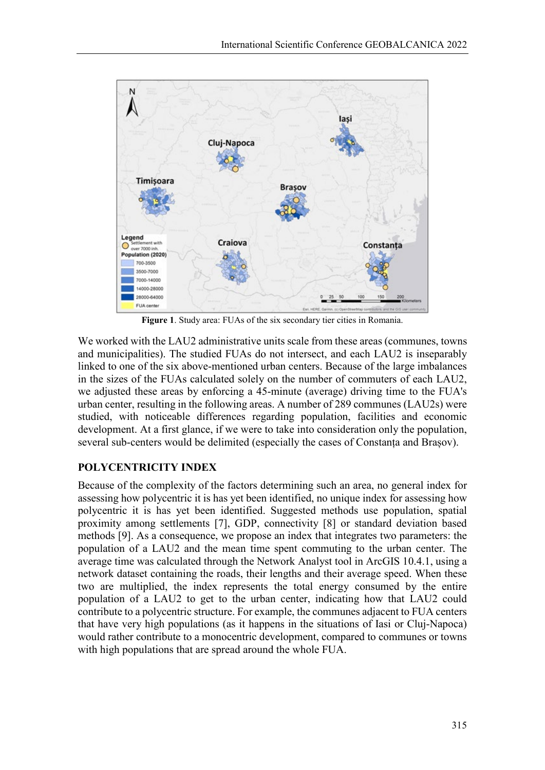

**Figure 1**. Study area: FUAs of the six secondary tier cities in Romania.

We worked with the LAU2 administrative units scale from these areas (communes, towns and municipalities). The studied FUAs do not intersect, and each LAU2 is inseparably linked to one of the six above-mentioned urban centers. Because of the large imbalances in the sizes of the FUAs calculated solely on the number of commuters of each LAU2, we adjusted these areas by enforcing a 45-minute (average) driving time to the FUA's urban center, resulting in the following areas. A number of 289 communes (LAU2s) were studied, with noticeable differences regarding population, facilities and economic development. At a first glance, if we were to take into consideration only the population, several sub-centers would be delimited (especially the cases of Constanța and Brașov).

# **POLYCENTRICITY INDEX**

Because of the complexity of the factors determining such an area, no general index for assessing how polycentric it is has yet been identified, no unique index for assessing how polycentric it is has yet been identified. Suggested methods use population, spatial proximity among settlements [7], GDP, connectivity [8] or standard deviation based methods [9]. As a consequence, we propose an index that integrates two parameters: the population of a LAU2 and the mean time spent commuting to the urban center. The average time was calculated through the Network Analyst tool in ArcGIS 10.4.1, using a network dataset containing the roads, their lengths and their average speed. When these two are multiplied, the index represents the total energy consumed by the entire population of a LAU2 to get to the urban center, indicating how that LAU2 could contribute to a polycentric structure. For example, the communes adjacent to FUA centers that have very high populations (as it happens in the situations of Iasi or Cluj-Napoca) would rather contribute to a monocentric development, compared to communes or towns with high populations that are spread around the whole FUA.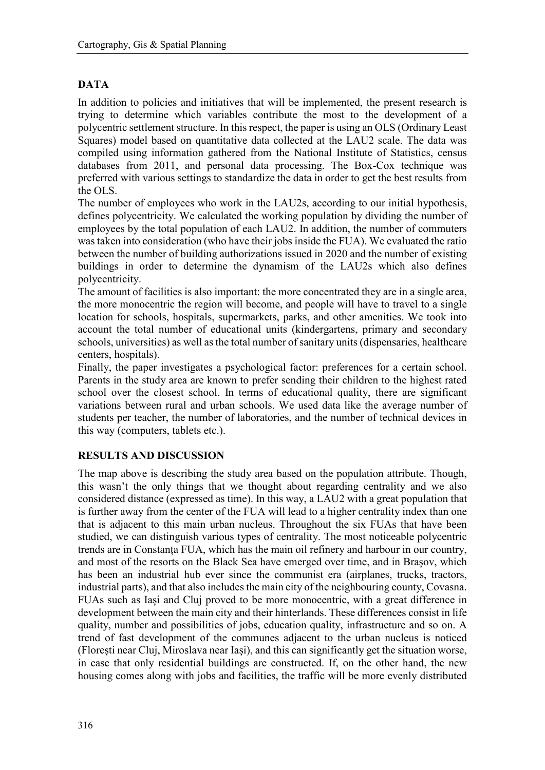# **DATA**

In addition to policies and initiatives that will be implemented, the present research is trying to determine which variables contribute the most to the development of a polycentric settlement structure. In this respect, the paper is using an OLS (Ordinary Least Squares) model based on quantitative data collected at the LAU2 scale. The data was compiled using information gathered from the National Institute of Statistics, census databases from 2011, and personal data processing. The Box-Cox technique was preferred with various settings to standardize the data in order to get the best results from the OLS.

The number of employees who work in the LAU2s, according to our initial hypothesis, defines polycentricity. We calculated the working population by dividing the number of employees by the total population of each LAU2. In addition, the number of commuters was taken into consideration (who have their jobs inside the FUA). We evaluated the ratio between the number of building authorizations issued in 2020 and the number of existing buildings in order to determine the dynamism of the LAU2s which also defines polycentricity.

The amount of facilities is also important: the more concentrated they are in a single area, the more monocentric the region will become, and people will have to travel to a single location for schools, hospitals, supermarkets, parks, and other amenities. We took into account the total number of educational units (kindergartens, primary and secondary schools, universities) as well as the total number of sanitary units (dispensaries, healthcare centers, hospitals).

Finally, the paper investigates a psychological factor: preferences for a certain school. Parents in the study area are known to prefer sending their children to the highest rated school over the closest school. In terms of educational quality, there are significant variations between rural and urban schools. We used data like the average number of students per teacher, the number of laboratories, and the number of technical devices in this way (computers, tablets etc.).

### **RESULTS AND DISCUSSION**

The map above is describing the study area based on the population attribute. Though, this wasn't the only things that we thought about regarding centrality and we also considered distance (expressed as time). In this way, a LAU2 with a great population that is further away from the center of the FUA will lead to a higher centrality index than one that is adjacent to this main urban nucleus. Throughout the six FUAs that have been studied, we can distinguish various types of centrality. The most noticeable polycentric trends are in Constanța FUA, which has the main oil refinery and harbour in our country, and most of the resorts on the Black Sea have emerged over time, and in Brașov, which has been an industrial hub ever since the communist era (airplanes, trucks, tractors, industrial parts), and that also includes the main city of the neighbouring county, Covasna. FUAs such as Iași and Cluj proved to be more monocentric, with a great difference in development between the main city and their hinterlands. These differences consist in life quality, number and possibilities of jobs, education quality, infrastructure and so on. A trend of fast development of the communes adjacent to the urban nucleus is noticed (Florești near Cluj, Miroslava near Iași), and this can significantly get the situation worse, in case that only residential buildings are constructed. If, on the other hand, the new housing comes along with jobs and facilities, the traffic will be more evenly distributed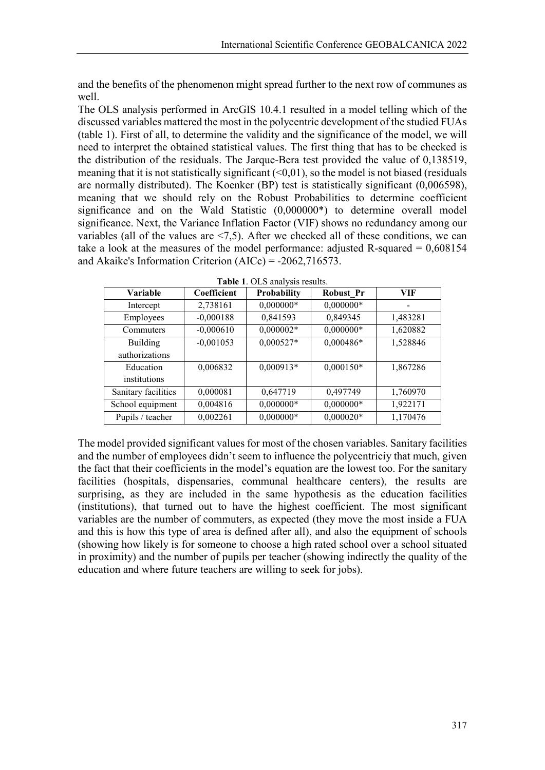and the benefits of the phenomenon might spread further to the next row of communes as well.

The OLS analysis performed in ArcGIS 10.4.1 resulted in a model telling which of the discussed variables mattered the most in the polycentric development of the studied FUAs (table 1). First of all, to determine the validity and the significance of the model, we will need to interpret the obtained statistical values. The first thing that has to be checked is the distribution of the residuals. The Jarque-Bera test provided the value of 0,138519, meaning that it is not statistically significant  $(\leq 0.01)$ , so the model is not biased (residuals are normally distributed). The Koenker (BP) test is statistically significant (0,006598), meaning that we should rely on the Robust Probabilities to determine coefficient significance and on the Wald Statistic (0,000000\*) to determine overall model significance. Next, the Variance Inflation Factor (VIF) shows no redundancy among our variables (all of the values are <7,5). After we checked all of these conditions, we can take a look at the measures of the model performance: adjusted R-squared  $= 0.608154$ and Akaike's Information Criterion (AICc) = -2062,716573.

| Variable            | Coefficient | Probability | <b>Robust Pr</b> | VIF      |
|---------------------|-------------|-------------|------------------|----------|
| Intercept           | 2,738161    | $0,000000*$ | $0,000000*$      |          |
| Employees           | $-0,000188$ | 0,841593    | 0,849345         | 1,483281 |
| Commuters           | $-0,000610$ | $0,000002*$ | $0,000000*$      | 1,620882 |
| <b>Building</b>     | $-0,001053$ | $0,000527*$ | 0,000486*        | 1,528846 |
| authorizations      |             |             |                  |          |
| Education           | 0.006832    | $0,000913*$ | $0,000150*$      | 1,867286 |
| institutions        |             |             |                  |          |
| Sanitary facilities | 0,000081    | 0,647719    | 0,497749         | 1,760970 |
| School equipment    | 0,004816    | $0,000000*$ | $0,000000*$      | 1,922171 |
| Pupils / teacher    | 0,002261    | $0,000000*$ | $0,000020*$      | 1,170476 |

| Table 1. OLS analysis results. |  |
|--------------------------------|--|
|--------------------------------|--|

The model provided significant values for most of the chosen variables. Sanitary facilities and the number of employees didn't seem to influence the polycentriciy that much, given the fact that their coefficients in the model's equation are the lowest too. For the sanitary facilities (hospitals, dispensaries, communal healthcare centers), the results are surprising, as they are included in the same hypothesis as the education facilities (institutions), that turned out to have the highest coefficient. The most significant variables are the number of commuters, as expected (they move the most inside a FUA and this is how this type of area is defined after all), and also the equipment of schools (showing how likely is for someone to choose a high rated school over a school situated in proximity) and the number of pupils per teacher (showing indirectly the quality of the education and where future teachers are willing to seek for jobs).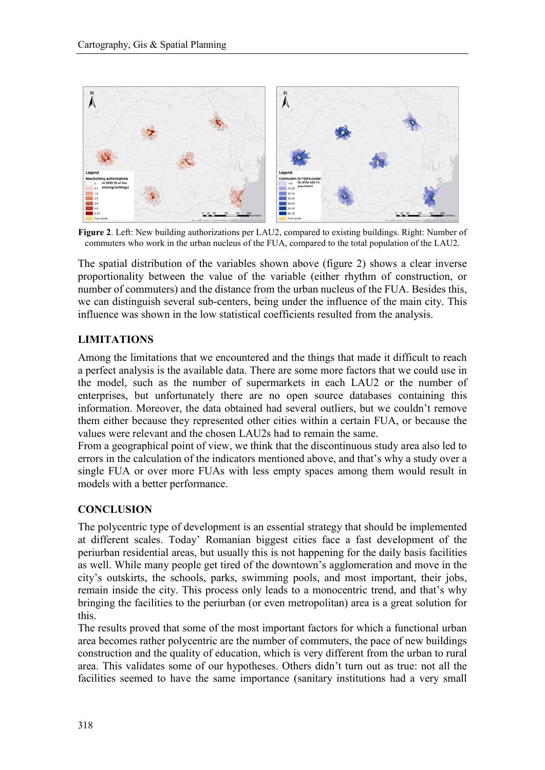

**Figure 2**. Left: New building authorizations per LAU2, compared to existing buildings. Right: Number of commuters who work in the urban nucleus of the FUA, compared to the total population of the LAU2.

The spatial distribution of the variables shown above (figure 2) shows a clear inverse proportionality between the value of the variable (either rhythm of construction, or number of commuters) and the distance from the urban nucleus of the FUA. Besides this, we can distinguish several sub-centers, being under the influence of the main city. This influence was shown in the low statistical coefficients resulted from the analysis.

### **LIMITATIONS**

Among the limitations that we encountered and the things that made it difficult to reach a perfect analysis is the available data. There are some more factors that we could use in the model, such as the number of supermarkets in each LAU2 or the number of enterprises, but unfortunately there are no open source databases containing this information. Moreover, the data obtained had several outliers, but we couldn't remove them either because they represented other cities within a certain FUA, or because the values were relevant and the chosen LAU2s had to remain the same.

From a geographical point of view, we think that the discontinuous study area also led to errors in the calculation of the indicators mentioned above, and that's why a study over a single FUA or over more FUAs with less empty spaces among them would result in models with a better performance.

# **CONCLUSION**

The polycentric type of development is an essential strategy that should be implemented at different scales. Today' Romanian biggest cities face a fast development of the periurban residential areas, but usually this is not happening for the daily basis facilities as well. While many people get tired of the downtown's agglomeration and move in the city's outskirts, the schools, parks, swimming pools, and most important, their jobs, remain inside the city. This process only leads to a monocentric trend, and that's why bringing the facilities to the periurban (or even metropolitan) area is a great solution for this.

The results proved that some of the most important factors for which a functional urban area becomes rather polycentric are the number of commuters, the pace of new buildings construction and the quality of education, which is very different from the urban to rural area. This validates some of our hypotheses. Others didn't turn out as true: not all the facilities seemed to have the same importance (sanitary institutions had a very small